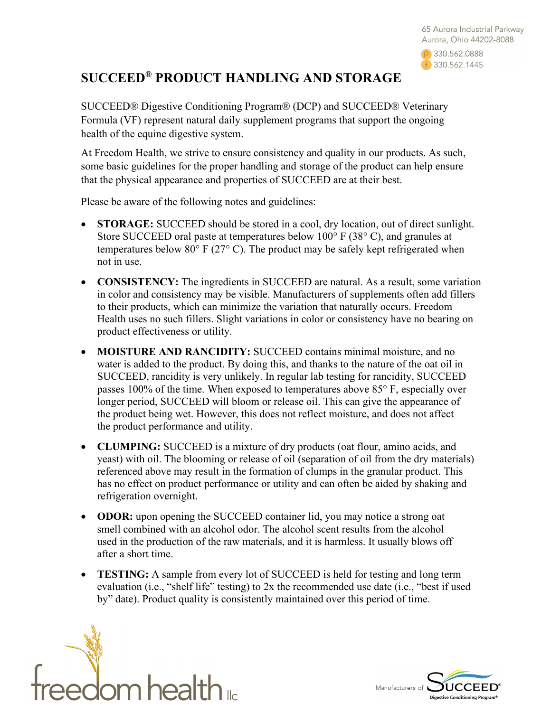

## **SUCCEED® PRODUCT HANDLING AND STORAGE**

SUCCEED® Digestive Conditioning Program® (DCP) and SUCCEED® Veterinary Formula (VF) represent natural daily supplement programs that support the ongoing health of the equine digestive system.

At Freedom Health, we strive to ensure consistency and quality in our products. As such, some basic guidelines for the proper handling and storage of the product can help ensure that the physical appearance and properties of SUCCEED are at their best.

Please be aware of the following notes and guidelines:

- **STORAGE:** SUCCEED should be stored in a cool, dry location, out of direct sunlight. Store SUCCEED oral paste at temperatures below 100° F (38° C), and granules at temperatures below 80 $\degree$  F (27 $\degree$  C). The product may be safely kept refrigerated when not in use.
- **CONSISTENCY:** The ingredients in SUCCEED are natural. As a result, some variation in color and consistency may be visible. Manufacturers of supplements often add fillers to their products, which can minimize the variation that naturally occurs. Freedom Health uses no such fillers. Slight variations in color or consistency have no bearing on product effectiveness or utility.
- **MOISTURE AND RANCIDITY:** SUCCEED contains minimal moisture, and no water is added to the product. By doing this, and thanks to the nature of the oat oil in SUCCEED, rancidity is very unlikely. In regular lab testing for rancidity, SUCCEED passes 100% of the time. When exposed to temperatures above 85° F, especially over longer period, SUCCEED will bloom or release oil. This can give the appearance of the product being wet. However, this does not reflect moisture, and does not affect the product performance and utility.
- **CLUMPING:** SUCCEED is a mixture of dry products (oat flour, amino acids, and yeast) with oil. The blooming or release of oil (separation of oil from the dry materials) referenced above may result in the formation of clumps in the granular product. This has no effect on product performance or utility and can often be aided by shaking and refrigeration overnight.
- **ODOR:** upon opening the SUCCEED container lid, you may notice a strong oat smell combined with an alcohol odor. The alcohol scent results from the alcohol used in the production of the raw materials, and it is harmless. It usually blows off after a short time.
- **TESTING:** A sample from every lot of SUCCEED is held for testing and long term evaluation (i.e., "shelf life" testing) to 2x the recommended use date (i.e., "best if used by" date). Product quality is consistently maintained over this period of time.